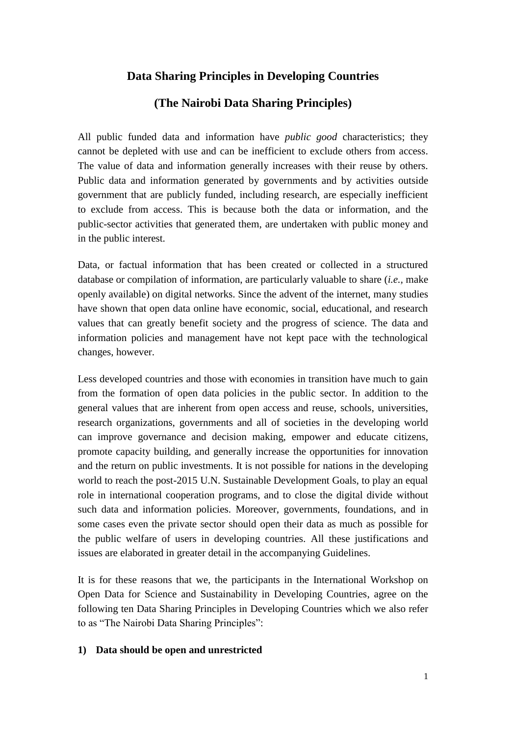# **Data Sharing Principles in Developing Countries**

# **(The Nairobi Data Sharing Principles)**

All public funded data and information have *public good* characteristics; they cannot be depleted with use and can be inefficient to exclude others from access. The value of data and information generally increases with their reuse by others. Public data and information generated by governments and by activities outside government that are publicly funded, including research, are especially inefficient to exclude from access. This is because both the data or information, and the public-sector activities that generated them, are undertaken with public money and in the public interest.

Data, or factual information that has been created or collected in a structured database or compilation of information, are particularly valuable to share (*i.e.,* make openly available) on digital networks. Since the advent of the internet, many studies have shown that open data online have economic, social, educational, and research values that can greatly benefit society and the progress of science. The data and information policies and management have not kept pace with the technological changes, however.

Less developed countries and those with economies in transition have much to gain from the formation of open data policies in the public sector. In addition to the general values that are inherent from open access and reuse, schools, universities, research organizations, governments and all of societies in the developing world can improve governance and decision making, empower and educate citizens, promote capacity building, and generally increase the opportunities for innovation and the return on public investments. It is not possible for nations in the developing world to reach the post-2015 U.N. Sustainable Development Goals, to play an equal role in international cooperation programs, and to close the digital divide without such data and information policies. Moreover, governments, foundations, and in some cases even the private sector should open their data as much as possible for the public welfare of users in developing countries. All these justifications and issues are elaborated in greater detail in the accompanying Guidelines.

It is for these reasons that we, the participants in the International Workshop on Open Data for Science and Sustainability in Developing Countries, agree on the following ten Data Sharing Principles in Developing Countries which we also refer to as "The Nairobi Data Sharing Principles":

#### **1) Data should be open and unrestricted**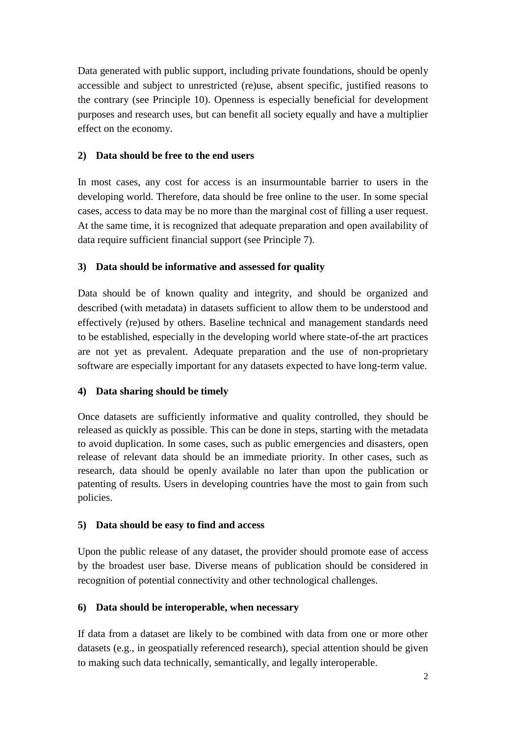Data generated with public support, including private foundations, should be openly accessible and subject to unrestricted (re)use, absent specific, justified reasons to the contrary (see Principle 10). Openness is especially beneficial for development purposes and research uses, but can benefit all society equally and have a multiplier effect on the economy.

### **2) Data should be free to the end users**

In most cases, any cost for access is an insurmountable barrier to users in the developing world. Therefore, data should be free online to the user. In some special cases, access to data may be no more than the marginal cost of filling a user request. At the same time, it is recognized that adequate preparation and open availability of data require sufficient financial support (see Principle 7).

#### **3) Data should be informative and assessed for quality**

Data should be of known quality and integrity, and should be organized and described (with metadata) in datasets sufficient to allow them to be understood and effectively (re)used by others. Baseline technical and management standards need to be established, especially in the developing world where state-of-the art practices are not yet as prevalent. Adequate preparation and the use of non-proprietary software are especially important for any datasets expected to have long-term value.

#### **4) Data sharing should be timely**

Once datasets are sufficiently informative and quality controlled, they should be released as quickly as possible. This can be done in steps, starting with the metadata to avoid duplication. In some cases, such as public emergencies and disasters, open release of relevant data should be an immediate priority. In other cases, such as research, data should be openly available no later than upon the publication or patenting of results. Users in developing countries have the most to gain from such policies.

#### **5) Data should be easy to find and access**

Upon the public release of any dataset, the provider should promote ease of access by the broadest user base. Diverse means of publication should be considered in recognition of potential connectivity and other technological challenges.

#### **6) Data should be interoperable, when necessary**

If data from a dataset are likely to be combined with data from one or more other datasets (e.g., in geospatially referenced research), special attention should be given to making such data technically, semantically, and legally interoperable.